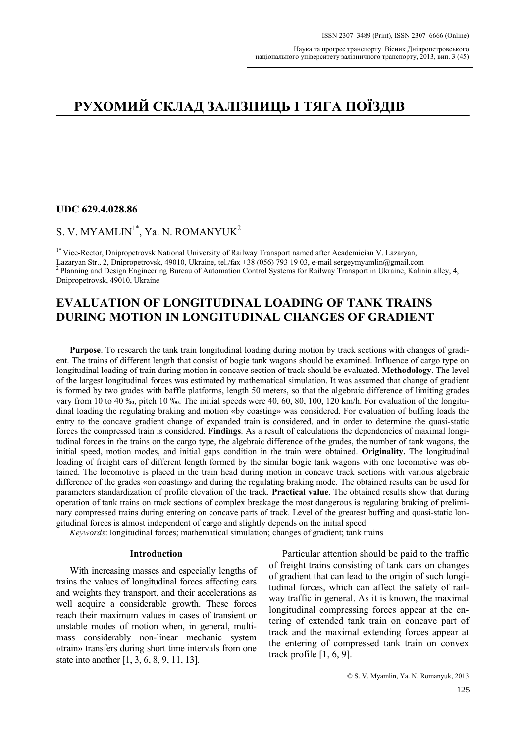# **UDC 629.4.028.86**

# S. V. MYAMLIN<sup>1\*</sup>, Ya. N. ROMANYUK<sup>2</sup>

1\* Vice-Rector, Dnipropetrovsk National University of Railway Transport named after Academician V. Lazaryan, Lazaryan Str., 2, Dnipropetrovsk, 49010, Ukraine, tel./fax +38 (056) 793 19 03, e-mail sergeymyamlin@gmail.com<br><sup>2</sup> Planning and Design Engineering Bureau of Automation Control Systems for Railway Transport in Ukraine, Kali Dnipropetrovsk, 49010, Ukraine

# **EVALUATION OF LONGITUDINAL LOADING OF TANK TRAINS DURING MOTION IN LONGITUDINAL CHANGES OF GRADIENT**

**Purpose**. To research the tank train longitudinal loading during motion by track sections with changes of gradient. The trains of different length that consist of bogie tank wagons should be examined. Influence of cargo type on longitudinal loading of train during motion in concave section of track should be evaluated. **Methodology**. The level of the largest longitudinal forces was estimated by mathematical simulation. It was assumed that change of gradient is formed by two grades with baffle platforms, length 50 meters, so that the algebraic difference of limiting grades vary from 10 to 40 ‰, pitch 10 ‰. The initial speeds were 40, 60, 80, 100, 120 km/h. For evaluation of the longitudinal loading the regulating braking and motion «by coasting» was considered. For evaluation of buffing loads the entry to the concave gradient change of expanded train is considered, and in order to determine the quasi-static forces the compressed train is considered. **Findings**. As a result of calculations the dependencies of maximal longitudinal forces in the trains on the cargo type, the algebraic difference of the grades, the number of tank wagons, the initial speed, motion modes, and initial gaps condition in the train were obtained. **Originality.** The longitudinal loading of freight cars of different length formed by the similar bogie tank wagons with one locomotive was obtained. The locomotive is placed in the train head during motion in concave track sections with various algebraic difference of the grades «on coasting» and during the regulating braking mode. The obtained results can be used for parameters standardization of profile elevation of the track. **Practical value**. The obtained results show that during operation of tank trains on track sections of complex breakage the most dangerous is regulating braking of preliminary compressed trains during entering on concave parts of track. Level of the greatest buffing and quasi-static longitudinal forces is almost independent of cargo and slightly depends on the initial speed.

*Keywords*: longitudinal forces; mathematical simulation; changes of gradient; tank trains

### **Introduction**

With increasing masses and especially lengths of trains the values of longitudinal forces affecting cars and weights they transport, and their accelerations as well acquire a considerable growth. These forces reach their maximum values in cases of transient or unstable modes of motion when, in general, multimass considerably non-linear mechanic system «train» transfers during short time intervals from one state into another [1, 3, 6, 8, 9, 11, 13].

Particular attention should be paid to the traffic of freight trains consisting of tank cars on changes of gradient that can lead to the origin of such longitudinal forces, which can affect the safety of railway traffic in general. As it is known, the maximal longitudinal compressing forces appear at the entering of extended tank train on concave part of track and the maximal extending forces appear at the entering of compressed tank train on convex track profile [1, 6, 9].

<sup>©</sup> S. V. Myamlin, Ya. N. Romanyuk, 2013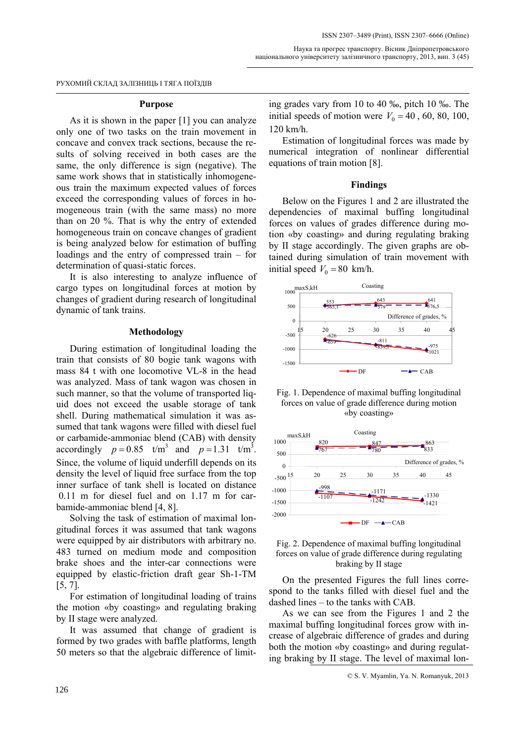### **Purpose**

As it is shown in the paper [1] you can analyze only one of two tasks on the train movement in concave and convex track sections, because the results of solving received in both cases are the same, the only difference is sign (negative). The same work shows that in statistically inhomogeneous train the maximum expected values of forces exceed the corresponding values of forces in homogeneous train (with the same mass) no more than on 20 %. That is why the entry of extended homogeneous train on concave changes of gradient is being analyzed below for estimation of buffing loadings and the entry of compressed train – for determination of quasi-static forces.

It is also interesting to analyze influence of cargo types on longitudinal forces at motion by changes of gradient during research of longitudinal dynamic of tank trains.

## **Methodology**

During estimation of longitudinal loading the train that consists of 80 bogie tank wagons with mass 84 t with one locomotive VL-8 in the head was analyzed. Mass of tank wagon was chosen in such manner, so that the volume of transported liquid does not exceed the usable storage of tank shell. During mathematical simulation it was assumed that tank wagons were filled with diesel fuel or carbamide-ammoniac blend (CAB) with density accordingly  $p = 0.85$  t/m<sup>3</sup> and  $p = 1.31$  t/m<sup>3</sup>. Since, the volume of liquid underfill depends on its density the level of liquid free surface from the top inner surface of tank shell is located on distance 0.11 m for diesel fuel and on 1.17 m for carbamide-ammoniac blend [4, 8].

Solving the task of estimation of maximal longitudinal forces it was assumed that tank wagons were equipped by air distributors with arbitrary no. 483 turned on medium mode and composition brake shoes and the inter-car connections were equipped by elastic-friction draft gear Sh-1-ТМ [5, 7].

For estimation of longitudinal loading of trains the motion «by coasting» and regulating braking by II stage were analyzed.

It was assumed that change of gradient is formed by two grades with baffle platforms, length 50 meters so that the algebraic difference of limiting grades vary from 10 to 40 ‰, pitch 10 ‰. The initial speeds of motion were  $V_0 = 40$ , 60, 80, 100, 120 km/h.

Estimation of longitudinal forces was made by numerical integration of nonlinear differential equations of train motion [8].

### **Findings**

Below on the Figures 1 and 2 are illustrated the dependencies of maximal buffing longitudinal forces on values of grades difference during motion «by coasting» and during regulating braking by II stage accordingly. The given graphs are obtained during simulation of train movement with initial speed  $V_0 = 80$  km/h.



Fig. 1. Dependence of maximal buffing longitudinal forces on value of grade difference during motion «by coasting»





On the presented Figures the full lines correspond to the tanks filled with diesel fuel and the dashed lines – to the tanks with CAB.

As we can see from the Figures 1 and 2 the maximal buffing longitudinal forces grow with increase of algebraic difference of grades and during both the motion «by coasting» and during regulating braking by II stage. The level of maximal lon-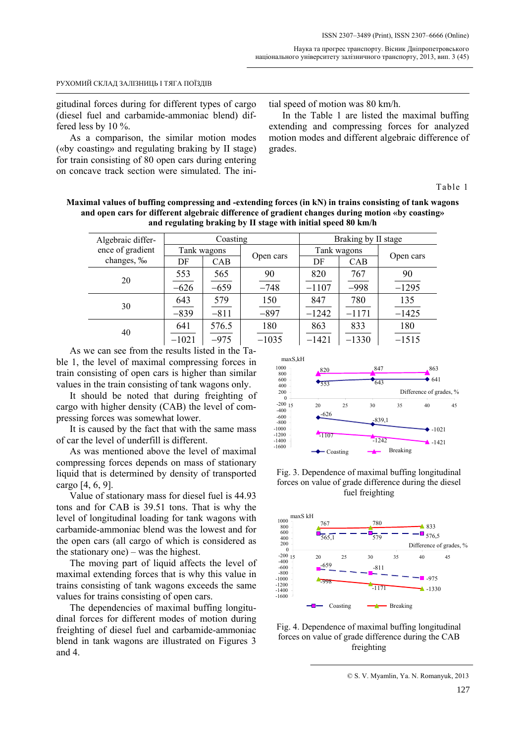#### Наука та прогрес транспорту. Вісник Дніпропетровського національного університету залізничного транспорту, 2013, вип. 3 (45)

#### РУХОМИЙ СКЛАД ЗАЛІЗНИЦЬ І ТЯГА ПОЇЗДІВ

gitudinal forces during for different types of cargo (diesel fuel and carbamide-ammoniac blend) differed less by 10 %.

As a comparison, the similar motion modes («by coasting» and regulating braking by II stage) for train consisting of 80 open cars during entering on concave track section were simulated. The initial speed of motion was 80 km/h.

In the Table 1 are listed the maximal buffing extending and compressing forces for analyzed motion modes and different algebraic difference of grades.

Table 1

**Maximal values of buffing compressing and -extending forces (in kN) in trains consisting of tank wagons and open cars for different algebraic difference of gradient changes during motion «by coasting» and regulating braking by II stage with initial speed 80 km/h** 

| Algebraic differ- | Coasting    |            |           | Braking by II stage |         |           |
|-------------------|-------------|------------|-----------|---------------------|---------|-----------|
| ence of gradient  | Tank wagons |            |           | Tank wagons         |         | Open cars |
| changes, ‰        | DF          | <b>CAB</b> | Open cars | DF                  | CAB     |           |
| 20                | 553         | 565        | 90        | 820                 | 767     | 90        |
|                   | $-626$      | $-659$     | $-748$    | $-1107$             | $-998$  | $-1295$   |
| 30                | 643         | 579        | 150       | 847                 | 780     | 135       |
|                   | $-839$      | $-811$     | $-897$    | $-1242$             | $-1171$ | $-1425$   |
| 40                | 641         | 576.5      | 180       | 863                 | 833     | 180       |
|                   | $-1021$     | $-975$     | $-1035$   | $-1421$             | $-1330$ | $-1515$   |

As we can see from the results listed in the Table 1, the level of maximal compressing forces in train consisting of open cars is higher than similar values in the train consisting of tank wagons only.

It should be noted that during freighting of cargo with higher density (CAB) the level of compressing forces was somewhat lower.

It is caused by the fact that with the same mass of car the level of underfill is different.

As was mentioned above the level of maximal compressing forces depends on mass of stationary liquid that is determined by density of transported cargo [4, 6, 9].

Value of stationary mass for diesel fuel is 44.93 tons and for CAB is 39.51 tons. That is why the level of longitudinal loading for tank wagons with carbamide-ammoniac blend was the lowest and for the open cars (all cargo of which is considered as the stationary one) – was the highest.

The moving part of liquid affects the level of maximal extending forces that is why this value in trains consisting of tank wagons exceeds the same values for trains consisting of open cars.

The dependencies of maximal buffing longitudinal forces for different modes of motion during freighting of diesel fuel and carbamide-ammoniac blend in tank wagons are illustrated on Figures 3 and 4.



Fig. 3. Dependence of maximal buffing longitudinal forces on value of grade difference during the diesel fuel freighting



Fig. 4. Dependence of maximal buffing longitudinal forces on value of grade difference during the CAB freighting

© S. V. Myamlin, Ya. N. Romanyuk, 2013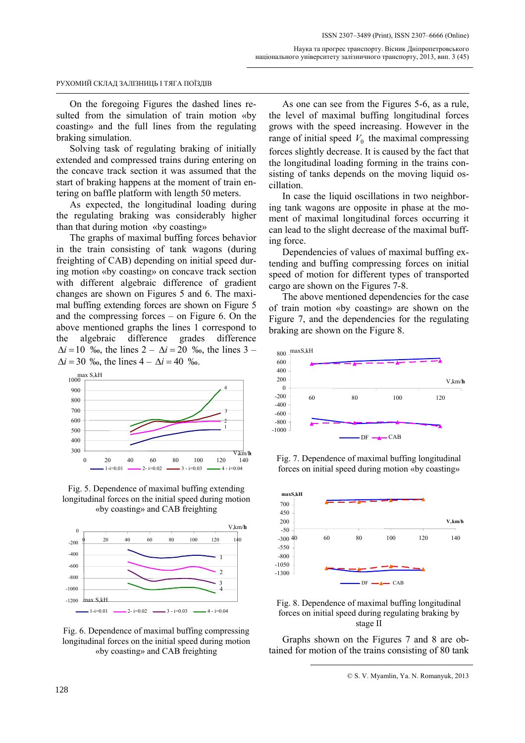On the foregoing Figures the dashed lines resulted from the simulation of train motion «by coasting» and the full lines from the regulating braking simulation.

Solving task of regulating braking of initially extended and compressed trains during entering on the concave track section it was assumed that the start of braking happens at the moment of train entering on baffle platform with length 50 meters.

As expected, the longitudinal loading during the regulating braking was considerably higher than that during motion «by coasting»

The graphs of maximal buffing forces behavior in the train consisting of tank wagons (during freighting of CAB) depending on initial speed during motion «by coasting» on concave track section with different algebraic difference of gradient changes are shown on Figures 5 and 6. The maximal buffing extending forces are shown on Figure 5 and the compressing forces – on Figure 6. On the above mentioned graphs the lines 1 correspond to the algebraic difference grades difference  $\Delta i = 10$  ‰, the lines  $2 - \Delta i = 20$  ‰, the lines 3 –  $\Delta i = 30$  ‰, the lines  $4 - \Delta i = 40$  ‰.



Fig. 5. Dependence of maximal buffing extending longitudinal forces on the initial speed during motion «by coasting» and CAB freighting



Fig. 6. Dependence of maximal buffing compressing longitudinal forces on the initial speed during motion «by coasting» and CAB freighting

As one can see from the Figures 5-6, as a rule, the level of maximal buffing longitudinal forces grows with the speed increasing. However in the range of initial speed  $V_0$  the maximal compressing forces slightly decrease. It is caused by the fact that the longitudinal loading forming in the trains consisting of tanks depends on the moving liquid oscillation.

In case the liquid oscillations in two neighboring tank wagons are opposite in phase at the moment of maximal longitudinal forces occurring it can lead to the slight decrease of the maximal buffing force.

Dependencies of values of maximal buffing extending and buffing compressing forces on initial speed of motion for different types of transported cargo are shown on the Figures 7-8.

The above mentioned dependencies for the case of train motion «by coasting» are shown on the Figure 7, and the dependencies for the regulating braking are shown on the Figure 8.



Fig. 7. Dependence of maximal buffing longitudinal forces on initial speed during motion «by coasting»



Fig. 8. Dependence of maximal buffing longitudinal forces on initial speed during regulating braking by stage II

Graphs shown on the Figures 7 and 8 are obtained for motion of the trains consisting of 80 tank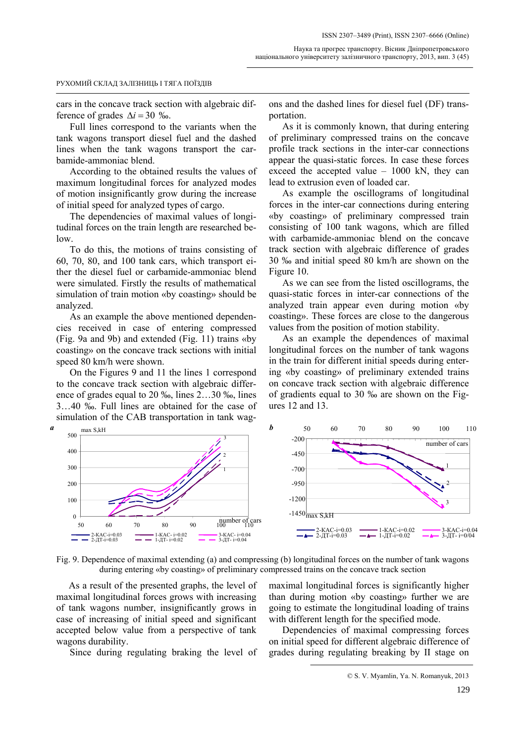cars in the concave track section with algebraic difference of grades  $\Delta i = 30 \%$ .

Full lines correspond to the variants when the tank wagons transport diesel fuel and the dashed lines when the tank wagons transport the carbamide-ammoniac blend.

According to the obtained results the values of maximum longitudinal forces for analyzed modes of motion insignificantly grow during the increase of initial speed for analyzed types of cargo.

The dependencies of maximal values of longitudinal forces on the train length are researched be- $\log$ 

To do this, the motions of trains consisting of 60, 70, 80, and 100 tank cars, which transport either the diesel fuel or carbamide-ammoniac blend were simulated. Firstly the results of mathematical simulation of train motion «by coasting» should be analyzed.

As an example the above mentioned dependencies received in case of entering compressed (Fig. 9a and 9b) and extended (Fig. 11) trains «by coasting» on the concave track sections with initial speed 80 km/h were shown.

On the Figures 9 and 11 the lines 1 correspond to the concave track section with algebraic difference of grades equal to 20 ‰, lines 2…30 ‰, lines 3…40 ‰. Full lines are obtained for the case of simulation of the CAB transportation in tank wag-

ons and the dashed lines for diesel fuel (DF) transportation.

As it is commonly known, that during entering of preliminary compressed trains on the concave profile track sections in the inter-car connections appear the quasi-static forces. In case these forces exceed the accepted value – 1000 kN, they can lead to extrusion even of loaded car.

As example the oscillograms of longitudinal forces in the inter-car connections during entering «by coasting» of preliminary compressed train consisting of 100 tank wagons, which are filled with carbamide-ammoniac blend on the concave track section with algebraic difference of grades 30 ‰ and initial speed 80 km/h are shown on the Figure 10.

As we can see from the listed oscillograms, the quasi-static forces in inter-car connections of the analyzed train appear even during motion «by coasting». These forces are close to the dangerous values from the position of motion stability.

As an example the dependences of maximal longitudinal forces on the number of tank wagons in the train for different initial speeds during entering «by coasting» of preliminary extended trains on concave track section with algebraic difference of gradients equal to 30 ‰ are shown on the Figures 12 and 13.



Fig. 9. Dependence of maximal extending (a) and compressing (b) longitudinal forces on the number of tank wagons during entering «by coasting» of preliminary compressed trains on the concave track section

As a result of the presented graphs, the level of maximal longitudinal forces grows with increasing of tank wagons number, insignificantly grows in case of increasing of initial speed and significant accepted below value from a perspective of tank wagons durability.

Since during regulating braking the level of

maximal longitudinal forces is significantly higher than during motion «by coasting» further we are going to estimate the longitudinal loading of trains with different length for the specified mode.

Dependencies of maximal compressing forces on initial speed for different algebraic difference of grades during regulating breaking by II stage on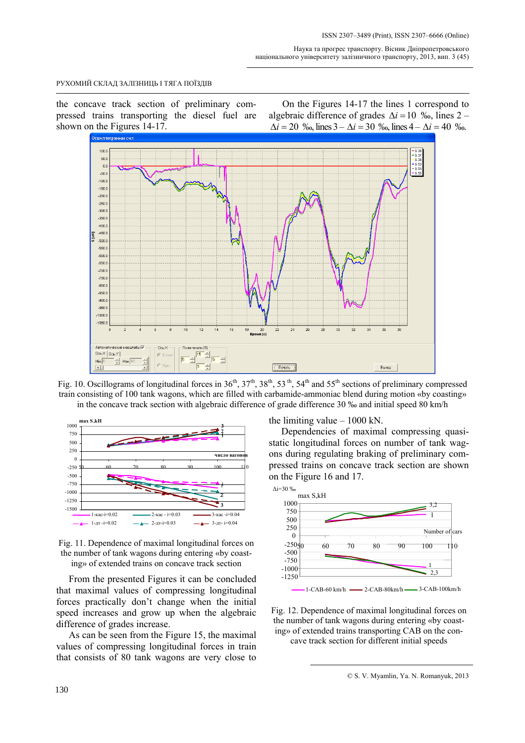the concave track section of preliminary compressed trains transporting the diesel fuel are shown on the Figures 14-17.

On the Figures 14-17 the lines 1 correspond to algebraic difference of grades  $\Delta i = 10$  ‰, lines 2 –  $\Delta i = 20$  ‰, lines  $3 - \Delta i = 30$  ‰, lines  $4 - \Delta i = 40$  ‰.



Fig. 10. Oscillograms of longitudinal forces in  $36<sup>th</sup>$ ,  $37<sup>th</sup>$ ,  $38<sup>th</sup>$ ,  $53<sup>th</sup>$ ,  $54<sup>th</sup>$  and  $55<sup>th</sup>$  sections of preliminary compressed train consisting of 100 tank wagons, which are filled with carbamide-ammoniac blend during motion «by coasting» in the concave track section with algebraic difference of grade difference 30 ‰ and initial speed 80 km/h





From the presented Figures it can be concluded that maximal values of compressing longitudinal forces practically don't change when the initial speed increases and grow up when the algebraic difference of grades increase.

As can be seen from the Figure 15, the maximal values of compressing longitudinal forces in train that consists of 80 tank wagons are very close to the limiting value  $-1000$  kN.

Dependencies of maximal compressing quasistatic longitudinal forces on number of tank wagons during regulating braking of preliminary compressed trains on concave track section are shown on the Figure 16 and 17.



Fig. 12. Dependence of maximal longitudinal forces on the number of tank wagons during entering «by coasting» of extended trains transporting CAB on the concave track section for different initial speeds

<sup>©</sup> S. V. Myamlin, Ya. N. Romanyuk, 2013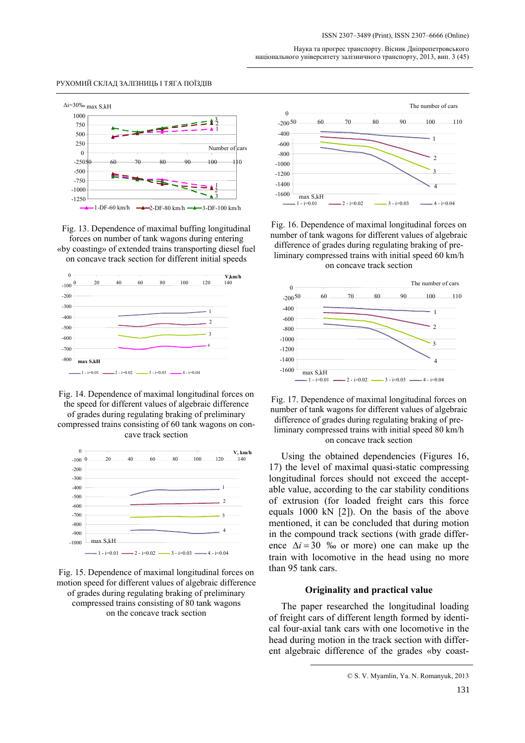Наука та прогрес транспорту. Вісник Дніпропетровського національного університету залізничного транспорту, 2013, вип. 3 (45)

#### РУХОМИЙ СКЛАД ЗАЛІЗНИЦЬ І ТЯГА ПОЇЗДІВ



Fig. 13. Dependence of maximal buffing longitudinal forces on number of tank wagons during entering «by coasting» of extended trains transporting diesel fuel





Fig. 14. Dependence of maximal longitudinal forces on the speed for different values of algebraic difference of grades during regulating braking of preliminary compressed trains consisting of 60 tank wagons on concave track section







Fig. 16. Dependence of maximal longitudinal forces on number of tank wagons for different values of algebraic difference of grades during regulating braking of preliminary compressed trains with initial speed 60 km/h on concave track section





Using the obtained dependencies (Figures 16, 17) the level of maximal quasi-static compressing longitudinal forces should not exceed the acceptable value, according to the car stability conditions of extrusion (for loaded freight cars this force equals 1000 kN [2]). On the basis of the above mentioned, it can be concluded that during motion in the compound track sections (with grade difference  $\Delta i = 30$  ‰ or more) one can make up the train with locomotive in the head using no more than 95 tank cars.

## **Originality and practical value**

The paper researched the longitudinal loading of freight cars of different length formed by identical four-axial tank cars with one locomotive in the head during motion in the track section with different algebraic difference of the grades «by coast-

<sup>©</sup> S. V. Myamlin, Ya. N. Romanyuk, 2013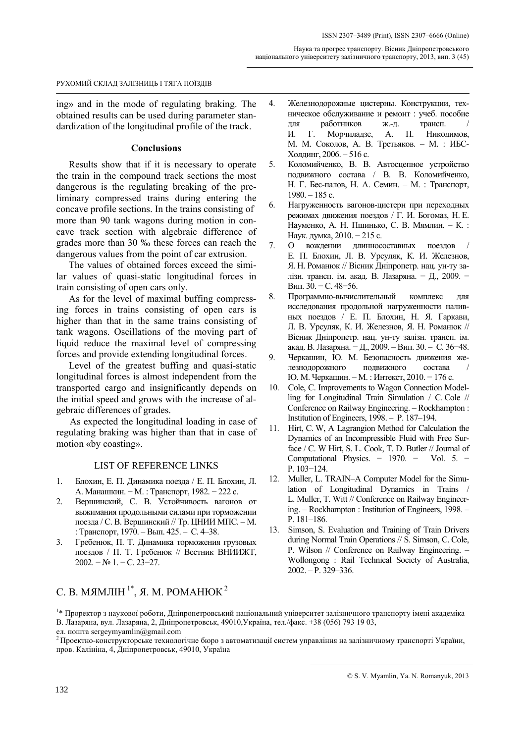ing» and in the mode of regulating braking. The obtained results can be used during parameter standardization of the longitudinal profile of the track.

# **Conclusions**

Results show that if it is necessary to operate the train in the compound track sections the most dangerous is the regulating breaking of the preliminary compressed trains during entering the concave profile sections. In the trains consisting of more than 90 tank wagons during motion in concave track section with algebraic difference of grades more than 30 ‰ these forces can reach the dangerous values from the point of car extrusion.

The values of obtained forces exceed the similar values of quasi-static longitudinal forces in train consisting of open cars only.

As for the level of maximal buffing compressing forces in trains consisting of open cars is higher than that in the same trains consisting of tank wagons. Oscillations of the moving part of liquid reduce the maximal level of compressing forces and provide extending longitudinal forces.

Level of the greatest buffing and quasi-static longitudinal forces is almost independent from the transported cargo and insignificantly depends on the initial speed and grows with the increase of algebraic differences of grades.

As expected the longitudinal loading in case of regulating braking was higher than that in case of motion «by coasting».

### LIST OF REFERENCE LINKS

- 1. Блохин, Е. П. Динамика поезда / Е. П. Блохин, Л. А. Манашкин. − М. : Транспорт, 1982. − 222 с.
- 2. Вершинский, С. В. Устойчивость вагонов от выжимания продольными силами при торможении поезда / С. В. Вершинский // Тр. ЦНИИ МПС. – М. : Транспорт, 1970. – Вып. 425. – С. 4–38.
- 3. Гребенюк, П. Т. Динамика торможения грузовых поездов / П. Т. Гребенюк // Вестник ВНИИЖТ, 2002. − № 1. − С. 23−27.

# С. В. МЯМЛІН<sup>1\*</sup>, Я. М. РОМАНЮК<sup>2</sup>

- 4. Железнодорожные цистерны. Конструкции, техническое обслуживание и ремонт : учеб. пособие для работников ж.-д. трансп. / И. Г. Морчиладзе, А. П. Никодимов, М. М. Соколов, А. В. Третьяков. – М. : ИБС-Холдинг, 2006. – 516 с.
- 5. Коломийченко, В. В. Автосцепное устройство подвижного состава / В. В. Коломийченко, Н. Г. Бес-палов, Н. А. Семин. – М. : Транспорт,  $1980 - 185$  c.
- 6. Нагруженность вагонов-цистерн при переходных режимах движения поездов / Г. И. Богомаз, Н. Е. Науменко, А. Н. Пшинько, С. В. Мямлин. – К. : Наук. думка, 2010. − 215 с.
- 7. О вождении длинносоставных поездов / Е. П. Блохин, Л. В. Урсуляк, К. И. Железнов, Я. Н. Романюк // Вісник Дніпропетр. нац. ун-ту залізн. трансп. ім. акад. В. Лазаряна. - Д., 2009. -Вип. 30. − С. 48−56.
- 8. Программно-вычислительный комплекс для исследования продольной нагруженности наливных поездов / Е. П. Блохин, Н. Я. Гаркави, Л. В. Урсуляк, К. И. Железнов, Я. Н. Романюк // Вісник Дніпропетр. нац. ун-ту залізн. трансп. ім. акад. В. Лазаряна. − Д., 2009. – Вип. 30. – С. 36−48.
- 9. Черкашин, Ю. М. Безопасность движения железнодорожного подвижного состава / Ю. М. Черкашин. – М. : Интекст, 2010. − 176 с.
- 10. Cole, C. Improvements to Wagon Connection Modelling for Longitudinal Train Simulation / C. Cole // Conference on Railway Engineering. – Rockhampton : Institution of Engineers, 1998. – P. 187–194.
- 11. Hirt, C. W, A Lagrangion Method for Calculation the Dynamics of an Incompressible Fluid with Free Surface / C. W Hirt, S. L. Cook, T. D. Butler // Journal of Computational Physics. − 1970. − Vol. 5. − Р. 103−124.
- 12. Muller, L. TRAIN–A Computer Model for the Simulation of Longitudinal Dynamics in Trains / L. Muller, T. Witt // Conference on Railway Engineering. – Rockhampton : Institution of Engineers, 1998. – P. 181–186.
- 13. Simson, S. Evaluation and Training of Train Drivers during Normal Train Operations // S. Simson, C. Cole, P. Wilson // Conference on Railway Engineering. – Wollongong : Rail Technical Society of Australia, 2002. – P. 329–336.

<sup>&</sup>lt;sup>1</sup>\* Проректор з наукової роботи, Дніпропетровський національний університет залізничного транспорту імені академіка В. Лазаряна, вул. Лазаряна, 2, Дніпропетровськ, 49010,Україна, тел./факс. +38 (056) 793 19 03,

ел. пошта sergeymyamlin@gmail.com<br><sup>2</sup> Проектно-конструкторське технологічне бюро з автоматизації систем управління на залізничному транспорті України, пров. Калініна, 4, Дніпропетровськ, 49010, Україна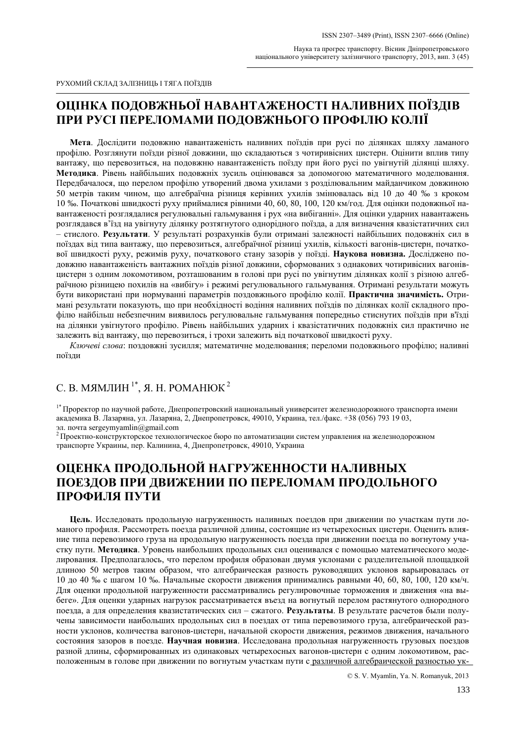# **ОЦІНКА ПОДОВЖНЬОЇ НАВАНТАЖЕНОСТІ НАЛИВНИХ ПОЇЗДІВ ПРИ РУСІ ПЕРЕЛОМАМИ ПОДОВЖНЬОГО ПРОФІЛЮ КОЛІЇ**

**Мета**. Дослідити подовжню навантаженість наливних поїздів при русі по ділянках шляху ламаного профілю. Розглянути поїзди різної довжини, що складаються з чотиривісних цистерн. Оцінити вплив типу вантажу, що перевозиться, на подовжню навантаженість поїзду при його русі по увігнутій ділянці шляху. **Методика**. Рівень найбільших подовжніх зусиль оцінювався за допомогою математичного моделювання. Передбачалося, що перелом профілю утворений двома ухилами з розділювальним майданчиком довжиною 50 метрів таким чином, що алгебраїчна різниця керівних ухилів змінювалась від 10 до 40 ‰ з кроком 10 ‰. Початкові швидкості руху приймалися рівними 40, 60, 80, 100, 120 км/год. Для оцінки подовжньої навантаженості розглядалися регулювальні гальмування і рух «на вибіганні». Для оцінки ударних навантажень розглядався в'їзд на увігнуту ділянку розтягнутого однорідного поїзда, а для визначення квазістатичних сил – стислого. **Результати**. У результаті розрахунків були отримані залежності найбільших подовжніх сил в поїздах від типа вантажу, що перевозиться, алгебраїчної різниці ухилів, кількості вагонів-цистерн, початкової швидкості руху, режимів руху, початкового стану зазорів у поїзді. **Наукова новизна.** Досліджено подовжню навантаженість вантажних поїздів різної довжини, сформованих з однакових чотиривісних вагонівцистерн з одним локомотивом, розташованим в голові при русі по увігнутим ділянках колії з різною алгебраїчною різницею похилів на «вибігу» і режимі регулювального гальмування. Отримані результати можуть бути використані при нормуванні параметрів поздовжнього профілю колії. **Практична значимість.** Отримані результати показують, що при необхідності водіння наливних поїздів по ділянках колії складного профілю найбільш небезпечним виявилось регулювальне гальмування попередньо стиснутих поїздів при в'їзді на ділянки увігнутого профілю. Рівень найбільших ударних і квазістатичних подовжніх сил практично не залежить від вантажу, що перевозиться, і трохи залежить від початкової швидкості руху.

*Ключеві слова*: поздовжні зусилля; математичне моделювання; переломи подовжнього профілю; наливні поїзди

# С. В. МЯМЛИН<sup>1\*</sup>, Я. Н. РОМАНЮК<sup>2</sup>

1\* Проректор по научной работе, Днепропетровский национальный университет железнодорожного транспорта имени академика В. Лазаряна, ул. Лазаряна, 2, Днепропетровск, 49010, Украина, тел./факс. +38 (056) 793 19 03,

эл. почта sergeymyamlin@gmail.com<br><sup>2</sup> Проектно-конструкторское технологическое бюро по автоматизации систем управления на железнодорожном транспорте Украины, пер. Калинина, 4, Днепропетровск, 49010, Украина

# **ОЦЕНКА ПРОДОЛЬНОЙ НАГРУЖЕННОСТИ НАЛИВНЫХ ПОЕЗДОВ ПРИ ДВИЖЕНИИ ПО ПЕРЕЛОМАМ ПРОДОЛЬНОГО ПРОФИЛЯ ПУТИ**

**Цель**. Исследовать продольную нагруженность наливных поездов при движении по участкам пути ломаного профиля. Рассмотреть поезда различной длины, состоящие из четырехосных цистерн. Оценить влияние типа перевозимого груза на продольную нагруженность поезда при движении поезда по вогнутому участку пути. **Методика**. Уровень наибольших продольных сил оценивался с помощью математического моделирования. Предполагалось, что перелом профиля образован двумя уклонами с разделительной площадкой длиною 50 метров таким образом, что алгебраическая разность руководящих уклонов варьировалась от 10 до 40 ‰ с шагом 10 ‰. Начальные скорости движения принимались равными 40, 60, 80, 100, 120 км/ч. Для оценки продольной нагруженности рассматривались регулировочные торможения и движения «на выбеге». Для оценки ударных нагрузок рассматривается въезд на вогнутый перелом растянутого однородного поезда, а для определения квазистатических сил – сжатого. **Результаты**. В результате расчетов были получены зависимости наибольших продольных сил в поездах от типа перевозимого груза, алгебраической разности уклонов, количества вагонов-цистерн, начальной скорости движения, режимов движения, начального состояния зазоров в поезде. **Научная новизна**. Исследована продольная нагруженность грузовых поездов разной длины, сформированных из одинаковых четырехосных вагонов-цистерн с одним локомотивом, расположенным в голове при движении по вогнутым участкам пути с различной алгебраической разностью ук-

© S. V. Myamlin, Ya. N. Romanyuk, 2013